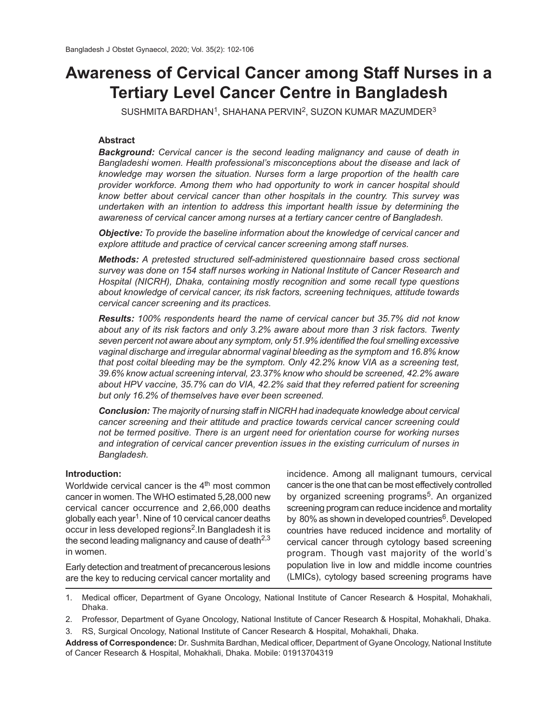# **Awareness of Cervical Cancer among Staff Nurses in a Tertiary Level Cancer Centre in Bangladesh**

 $S$ USHMITA BARDHAN $^1$ , SHAHANA PERVIN $^2$ , SUZON KUMAR MAZUMDER $^3$ 

# **Abstract**

*Background: Cervical cancer is the second leading malignancy and cause of death in Bangladeshi women. Health professional's misconceptions about the disease and lack of knowledge may worsen the situation. Nurses form a large proportion of the health care provider workforce. Among them who had opportunity to work in cancer hospital should know better about cervical cancer than other hospitals in the country. This survey was undertaken with an intention to address this important health issue by determining the awareness of cervical cancer among nurses at a tertiary cancer centre of Bangladesh.*

*Objective: To provide the baseline information about the knowledge of cervical cancer and explore attitude and practice of cervical cancer screening among staff nurses.*

*Methods: A pretested structured self-administered questionnaire based cross sectional survey was done on 154 staff nurses working in National Institute of Cancer Research and Hospital (NICRH), Dhaka, containing mostly recognition and some recall type questions about knowledge of cervical cancer, its risk factors, screening techniques, attitude towards cervical cancer screening and its practices.*

*Results: 100% respondents heard the name of cervical cancer but 35.7% did not know about any of its risk factors and only 3.2% aware about more than 3 risk factors. Twenty seven percent not aware about any symptom, only 51.9% identified the foul smelling excessive vaginal discharge and irregular abnormal vaginal bleeding as the symptom and 16.8% know that post coital bleeding may be the symptom. Only 42.2% know VIA as a screening test, 39.6% know actual screening interval, 23.37% know who should be screened, 42.2% aware about HPV vaccine, 35.7% can do VIA, 42.2% said that they referred patient for screening but only 16.2% of themselves have ever been screened.*

*Conclusion: The majority of nursing staff in NICRH had inadequate knowledge about cervical cancer screening and their attitude and practice towards cervical cancer screening could not be termed positive. There is an urgent need for orientation course for working nurses and integration of cervical cancer prevention issues in the existing curriculum of nurses in Bangladesh.*

# **Introduction:**

Worldwide cervical cancer is the  $4<sup>th</sup>$  most common cancer in women. The WHO estimated 5,28,000 new cervical cancer occurrence and 2,66,000 deaths globally each year<sup>1</sup>. Nine of 10 cervical cancer deaths occur in less developed regions $^2$ .In Bangladesh it is the second leading malignancy and cause of death $2.3$ in women.

Early detection and treatment of precancerous lesions are the key to reducing cervical cancer mortality and incidence. Among all malignant tumours, cervical cancer is the one that can be most effectively controlled by organized screening programs<sup>5</sup>. An organized screening program can reduce incidence and mortality by 80% as shown in developed countries<sup>6</sup>. Developed countries have reduced incidence and mortality of cervical cancer through cytology based screening program. Though vast majority of the world's population live in low and middle income countries (LMICs), cytology based screening programs have

1. Medical officer, Department of Gyane Oncology, National Institute of Cancer Research & Hospital, Mohakhali, Dhaka.

2. Professor, Department of Gyane Oncology, National Institute of Cancer Research & Hospital, Mohakhali, Dhaka.

3. RS, Surgical Oncology, National Institute of Cancer Research & Hospital, Mohakhali, Dhaka.

**Address of Correspondence:** Dr. Sushmita Bardhan, Medical officer, Department of Gyane Oncology, National Institute of Cancer Research & Hospital, Mohakhali, Dhaka. Mobile: 01913704319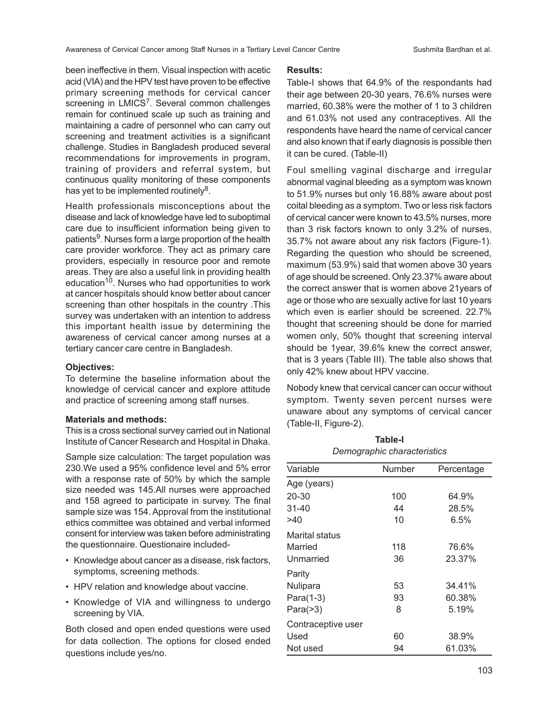been ineffective in them. Visual inspection with acetic acid (VIA) and the HPV test have proven to be effective primary screening methods for cervical cancer screening in LMICS<sup>7</sup>. Several common challenges remain for continued scale up such as training and maintaining a cadre of personnel who can carry out screening and treatment activities is a significant challenge. Studies in Bangladesh produced several recommendations for improvements in program, training of providers and referral system, but continuous quality monitoring of these components has yet to be implemented routinely $^8$ .

Health professionals misconceptions about the disease and lack of knowledge have led to suboptimal care due to insufficient information being given to patients<sup>9</sup>. Nurses form a large proportion of the health care provider workforce. They act as primary care providers, especially in resource poor and remote areas. They are also a useful link in providing health education<sup>10</sup>. Nurses who had opportunities to work at cancer hospitals should know better about cancer screening than other hospitals in the country .This survey was undertaken with an intention to address this important health issue by determining the awareness of cervical cancer among nurses at a tertiary cancer care centre in Bangladesh.

## **Objectives:**

To determine the baseline information about the knowledge of cervical cancer and explore attitude and practice of screening among staff nurses.

## **Materials and methods:**

This is a cross sectional survey carried out in National Institute of Cancer Research and Hospital in Dhaka.

Sample size calculation: The target population was 230.We used a 95% confidence level and 5% error with a response rate of 50% by which the sample size needed was 145.All nurses were approached and 158 agreed to participate in survey. The final sample size was 154. Approval from the institutional ethics committee was obtained and verbal informed consent for interview was taken before administrating the questionnaire. Questionaire included-

- Knowledge about cancer as a disease, risk factors, symptoms, screening methods.
- HPV relation and knowledge about vaccine.
- Knowledge of VIA and willingness to undergo screening by VIA.

Both closed and open ended questions were used for data collection. The options for closed ended questions include yes/no.

# **Results:**

Table-I shows that 64.9% of the respondants had their age between 20-30 years, 76.6% nurses were married, 60.38% were the mother of 1 to 3 children and 61.03% not used any contraceptives. All the respondents have heard the name of cervical cancer and also known that if early diagnosis is possible then it can be cured. (Table-II)

Foul smelling vaginal discharge and irregular abnormal vaginal bleeding as a symptom was known to 51.9% nurses but only 16.88% aware about post coital bleeding as a symptom. Two or less risk factors of cervical cancer were known to 43.5% nurses, more than 3 risk factors known to only 3.2% of nurses, 35.7% not aware about any risk factors (Figure-1). Regarding the question who should be screened, maximum (53.9%) said that women above 30 years of age should be screened. Only 23.37% aware about the correct answer that is women above 21years of age or those who are sexually active for last 10 years which even is earlier should be screened. 22.7% thought that screening should be done for married women only, 50% thought that screening interval should be 1year, 39.6% knew the correct answer, that is 3 years (Table III). The table also shows that only 42% knew about HPV vaccine.

Nobody knew that cervical cancer can occur without symptom. Twenty seven percent nurses were unaware about any symptoms of cervical cancer (Table-II, Figure-2).

| Demographic characteristics |        |            |  |  |
|-----------------------------|--------|------------|--|--|
| Variable                    | Number | Percentage |  |  |
| Age (years)                 |        |            |  |  |
| 20-30                       | 100    | 64.9%      |  |  |
| 31-40                       | 44     | 28.5%      |  |  |
| >40                         | 10     | 6.5%       |  |  |
| Marital status              |        |            |  |  |
| Married                     | 118    | 76.6%      |  |  |
| Unmarried                   | 36     | 23.37%     |  |  |
| Parity                      |        |            |  |  |
| Nulipara                    | 53     | 34.41%     |  |  |
| Para(1-3)                   | 93     | 60.38%     |  |  |
| Para $($ >3)                | 8      | 5.19%      |  |  |
| Contraceptive user          |        |            |  |  |
| Used                        | 60     | 38.9%      |  |  |
| Not used                    | 94     | 61.03%     |  |  |

**Table-I** *Demographic characteristics*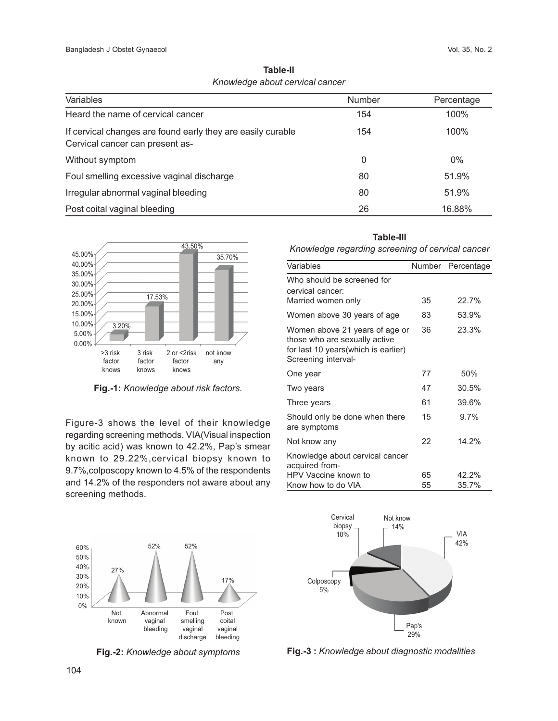|                                 | Table-II |  |
|---------------------------------|----------|--|
| Knowledge about cervical cancer |          |  |

| Variables                                                                                      | <b>Number</b> | Percentage |
|------------------------------------------------------------------------------------------------|---------------|------------|
| Heard the name of cervical cancer                                                              | 154           | 100%       |
| If cervical changes are found early they are easily curable<br>Cervical cancer can present as- | 154           | 100%       |
| Without symptom                                                                                | 0             | $0\%$      |
| Foul smelling excessive vaginal discharge                                                      | 80            | 51.9%      |
| Irregular abnormal vaginal bleeding                                                            | 80            | 51.9%      |
| Post coital vaginal bleeding                                                                   | 26            | 16.88%     |



**Fig.-1:** *Knowledge about risk factors.*

Figure-3 shows the level of their knowledge regarding screening methods. VIA(Visual inspection by acitic acid) was known to 42.2%, Pap's smear known to 29.22%,cervical biopsy known to 9.7%,colposcopy known to 4.5% of the respondents and 14.2% of the responders not aware about any screening methods.

*Knowledge regarding screening of cervical cancer*

| Variables                                                                                                                      |    | Number Percentage |
|--------------------------------------------------------------------------------------------------------------------------------|----|-------------------|
| Who should be screened for<br>cervical cancer:                                                                                 |    |                   |
| Married women only                                                                                                             | 35 | 22.7%             |
| Women above 30 years of age                                                                                                    | 83 | 53.9%             |
| Women above 21 years of age or<br>those who are sexually active<br>for last 10 years (which is earlier)<br>Screening interval- | 36 | 23.3%             |
| One year                                                                                                                       | 77 | 50%               |
| Two years                                                                                                                      | 47 | 30.5%             |
| Three years                                                                                                                    | 61 | 39.6%             |
| Should only be done when there<br>are symptoms                                                                                 | 15 | $9.7\%$           |
| Not know any                                                                                                                   | 22 | 14.2%             |
| Knowledge about cervical cancer<br>acquired from-                                                                              |    |                   |
| HPV Vaccine known to                                                                                                           | 65 | 42.2%             |
| Know how to do VIA                                                                                                             | 55 | 35.7%             |



**Fig.-2:** *Knowledge about symptoms*



**Fig.-3 :** *Knowledge about diagnostic modalities*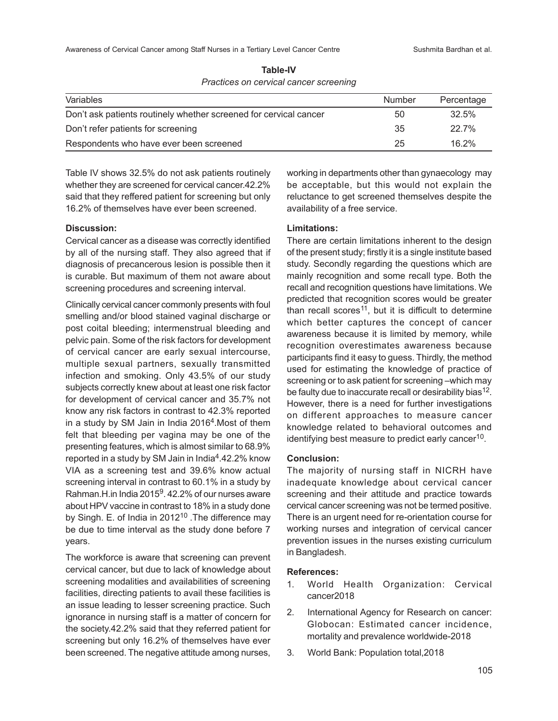Awareness of Cervical Cancer among Staff Nurses in a Tertiary Level Cancer Centre Sushmita Bardhan et al.

| <b>Variables</b>                                                  | Number | Percentage |
|-------------------------------------------------------------------|--------|------------|
| Don't ask patients routinely whether screened for cervical cancer | 50     | 32.5%      |
| Don't refer patients for screening                                | 35     | 22.7%      |
| Respondents who have ever been screened                           | 25     | 16.2%      |

**Table-IV** *Practices on cervical cancer screening*

Table IV shows 32.5% do not ask patients routinely whether they are screened for cervical cancer.42.2% said that they reffered patient for screening but only 16.2% of themselves have ever been screened.

### **Discussion:**

Cervical cancer as a disease was correctly identified by all of the nursing staff. They also agreed that if diagnosis of precancerous lesion is possible then it is curable. But maximum of them not aware about screening procedures and screening interval.

Clinically cervical cancer commonly presents with foul smelling and/or blood stained vaginal discharge or post coital bleeding; intermenstrual bleeding and pelvic pain. Some of the risk factors for development of cervical cancer are early sexual intercourse, multiple sexual partners, sexually transmitted infection and smoking. Only 43.5% of our study subjects correctly knew about at least one risk factor for development of cervical cancer and 35.7% not know any risk factors in contrast to 42.3% reported in a study by SM Jain in India 2016 $4$ .Most of them felt that bleeding per vagina may be one of the presenting features, which is almost similar to 68.9% reported in a study by SM Jain in India<sup>4</sup>.42.2% know VIA as a screening test and 39.6% know actual screening interval in contrast to 60.1% in a study by Rahman.H.in India 2015<sup>9</sup>. 42.2% of our nurses aware about HPV vaccine in contrast to 18% in a study done by Singh. E. of India in  $2012^{10}$ . The difference may be due to time interval as the study done before 7 years.

The workforce is aware that screening can prevent cervical cancer, but due to lack of knowledge about screening modalities and availabilities of screening facilities, directing patients to avail these facilities is an issue leading to lesser screening practice. Such ignorance in nursing staff is a matter of concern for the society.42.2% said that they referred patient for screening but only 16.2% of themselves have ever been screened. The negative attitude among nurses,

working in departments other than gynaecology may be acceptable, but this would not explain the reluctance to get screened themselves despite the availability of a free service.

# **Limitations:**

There are certain limitations inherent to the design of the present study; firstly it is a single institute based study. Secondly regarding the questions which are mainly recognition and some recall type. Both the recall and recognition questions have limitations. We predicted that recognition scores would be greater than recall scores<sup>11</sup>, but it is difficult to determine which better captures the concept of cancer awareness because it is limited by memory, while recognition overestimates awareness because participants find it easy to guess. Thirdly, the method used for estimating the knowledge of practice of screening or to ask patient for screening –which may be faulty due to inaccurate recall or desirability bias<sup>12</sup>. However, there is a need for further investigations on different approaches to measure cancer knowledge related to behavioral outcomes and identifying best measure to predict early cancer $^{10}$ .

#### **Conclusion:**

The majority of nursing staff in NICRH have inadequate knowledge about cervical cancer screening and their attitude and practice towards cervical cancer screening was not be termed positive. There is an urgent need for re-orientation course for working nurses and integration of cervical cancer prevention issues in the nurses existing curriculum in Bangladesh.

#### **References:**

- 1. World Health Organization: Cervical cancer2018
- 2. International Agency for Research on cancer: Globocan: Estimated cancer incidence, mortality and prevalence worldwide-2018
- 3. World Bank: Population total,2018